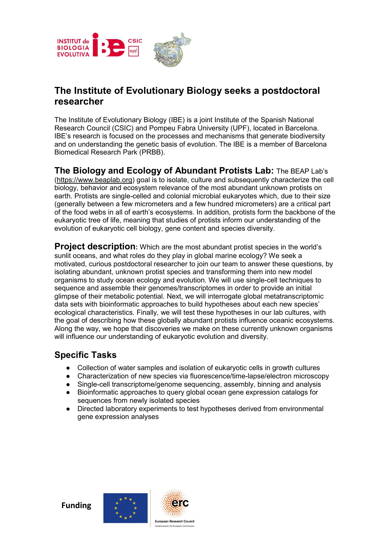

# **The Institute of Evolutionary Biology seeks a postdoctoral researcher**

The Institute of Evolutionary Biology (IBE) is a joint Institute of the Spanish National Research Council (CSIC) and Pompeu Fabra University (UPF), located in Barcelona. IBE's research is focused on the processes and mechanisms that generate biodiversity and on understanding the genetic basis of evolution. The IBE is a member of Barcelona Biomedical Research Park (PRBB).

**The Biology and Ecology of Abundant Protists Lab:** The BEAP Lab's [\(https://www.beaplab.org\)](https://www.beaplab.org/) goal is to isolate, culture and subsequently characterize the cell biology, behavior and ecosystem relevance of the most abundant unknown protists on earth. Protists are single-celled and colonial microbial eukaryotes which, due to their size (generally between a few micrometers and a few hundred micrometers) are a critical part of the food webs in all of earth's ecosystems. In addition, protists form the backbone of the eukaryotic tree of life, meaning that studies of protists inform our understanding of the evolution of eukaryotic cell biology, gene content and species diversity.

**Project description:** Which are the most abundant protist species in the world's sunlit oceans, and what roles do they play in global marine ecology? We seek a motivated, curious postdoctoral researcher to join our team to answer these questions, by isolating abundant, unknown protist species and transforming them into new model organisms to study ocean ecology and evolution. We will use single-cell techniques to sequence and assemble their genomes/transcriptomes in order to provide an initial glimpse of their metabolic potential. Next, we will interrogate global metatranscriptomic data sets with bioinformatic approaches to build hypotheses about each new species' ecological characteristics. Finally, we will test these hypotheses in our lab cultures, with the goal of describing how these globally abundant protists influence oceanic ecosystems. Along the way, we hope that discoveries we make on these currently unknown organisms will influence our understanding of eukaryotic evolution and diversity.

# **Specific Tasks**

- Collection of water samples and isolation of eukaryotic cells in growth cultures
- Characterization of new species via fluorescence/time-lapse/electron microscopy
- Single-cell transcriptome/genome sequencing, assembly, binning and analysis
- Bioinformatic approaches to query global ocean gene expression catalogs for sequences from newly isolated species
- Directed laboratory experiments to test hypotheses derived from environmental gene expression analyses